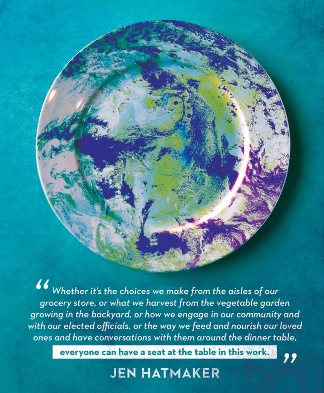$\boldsymbol{ii}$ Whether it's the choices we make from the aisles of our grocery store, or what we harvest from the vegetable garden growing in the backyard, or how we engage in our community and with our elected officials, or the way we feed and nourish our loved ones and have conversations with them around the dinner table,

everyone can have a seat at the table in this work.

## **JEN HATMAKER**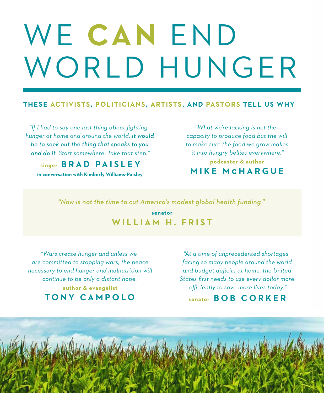# WE **CAN** END WORLD HUNGER

#### **THESE ACTIVISTS, POLITICIANS, ARTISTS, AND PASTORS TELL US WHY**

*"If I had to say one last thing about fighting hunger at home and around the world, it would be to seek out the thing that speaks to you and do it. Start somewhere. Take that step."*

**singer BRAD PAISLEY**

**in conversation with Kimberly Williams-Paisley**

*"What we're lacking is not the capacity to produce food but the will to make sure the food we grow makes it into hungry bellies everywhere."*

**podcaster & author MIKE M c HARGUE**

*"Now is not the time to cut America's modest global health funding."*

**senator WILLIAM H. FRIST**

*"Wars create hunger and unless we are committed to stopping wars, the peace necessary to end hunger and malnutrition will continue to be only a distant hope."* **author & evangelist TONY CAMPOLO**

*"At a time of unprecedented shortages facing so many people around the world and budget deficits at home, the United States first needs to use every dollar more efficiently to save more lives today."*

#### **senator BOB CORKER**

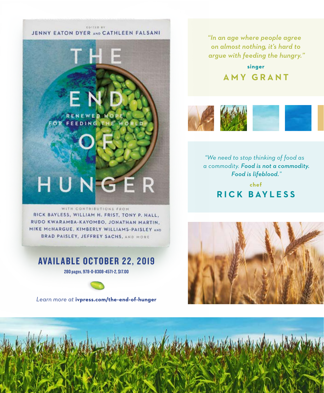#### EDITED BY JENNY EATON DYER AND CATHLEEN FALSANI

HUNGER

AVAILABLE OCTOBER 22, 2019 280 pages, 978-0-8308-4571-2, \$17.00

WITH CONTRIBUTIONS FROM RICK BAYLESS, WILLIAM H. FRIST, TONY P. HALL. RUDO KWARAMBA-KAYOMBO, JONATHAN MARTIN, MIKE MCHARGUE, KIMBERLY WILLIAMS-PAISLEY AND BRAD PAISLEY, JEFFREY SACHS, AND MORE

*Learn more at* **ivpress.com/the-end-of-hunger**

*"In an age where people agree on almost nothing, it's hard to argue with feeding the hungry."*

> **singer AMY GRANT**



*"We need to stop thinking of food as a commodity. Food is not a commodity. Food is lifeblood."*

> **chef R I C K BAY L E S S**